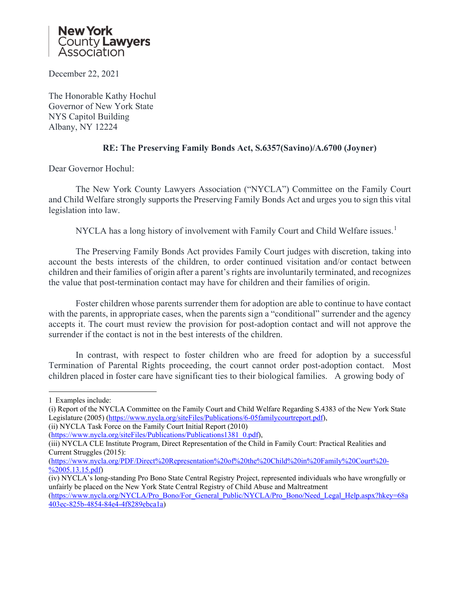

December 22, 2021

The Honorable Kathy Hochul Governor of New York State NYS Capitol Building Albany, NY 12224

## **RE: The Preserving Family Bonds Act, S.6357(Savino)/A.6700 (Joyner)**

Dear Governor Hochul:

The New York County Lawyers Association ("NYCLA") Committee on the Family Court and Child Welfare strongly supports the Preserving Family Bonds Act and urges you to sign this vital legislation into law.

NYCLA has a long history of involvement with Family Court and Child Welfare issues.<sup>[1](#page-0-0)</sup>

The Preserving Family Bonds Act provides Family Court judges with discretion, taking into account the bests interests of the children, to order continued visitation and/or contact between children and their families of origin after a parent's rights are involuntarily terminated, and recognizes the value that post-termination contact may have for children and their families of origin.

Foster children whose parents surrender them for adoption are able to continue to have contact with the parents, in appropriate cases, when the parents sign a "conditional" surrender and the agency accepts it. The court must review the provision for post-adoption contact and will not approve the surrender if the contact is not in the best interests of the children.

In contrast, with respect to foster children who are freed for adoption by a successful Termination of Parental Rights proceeding, the court cannot order post-adoption contact. Most children placed in foster care have significant ties to their biological families. A growing body of

<span id="page-0-0"></span><sup>1</sup> Examples include:

<sup>(</sup>i) Report of the NYCLA Committee on the Family Court and Child Welfare Regarding S.4383 of the New York State Legislature (2005) [\(https://www.nycla.org/siteFiles/Publications/6-05familycourtreport.pdf\)](about:blank),

<sup>(</sup>ii) NYCLA Task Force on the Family Court Initial Report (2010)

[<sup>\(</sup>https://www.nycla.org/siteFiles/Publications/Publications1381\\_0.pdf\)](about:blank),

<sup>(</sup>iii) NYCLA CLE Institute Program, Direct Representation of the Child in Family Court: Practical Realities and Current Struggles (2015):

[<sup>\(</sup>https://www.nycla.org/PDF/Direct%20Representation%20of%20the%20Child%20in%20Family%20Court%20-](about:blank) [%2005.13.15.pdf\)](about:blank)

<sup>(</sup>iv) NYCLA's long-standing Pro Bono State Central Registry Project, represented individuals who have wrongfully or unfairly be placed on the New York State Central Registry of Child Abuse and Maltreatment

[<sup>\(</sup>https://www.nycla.org/NYCLA/Pro\\_Bono/For\\_General\\_Public/NYCLA/Pro\\_Bono/Need\\_Legal\\_Help.aspx?hkey=68a](about:blank) [403ec-825b-4854-84e4-4f8289ebca1a\)](about:blank)